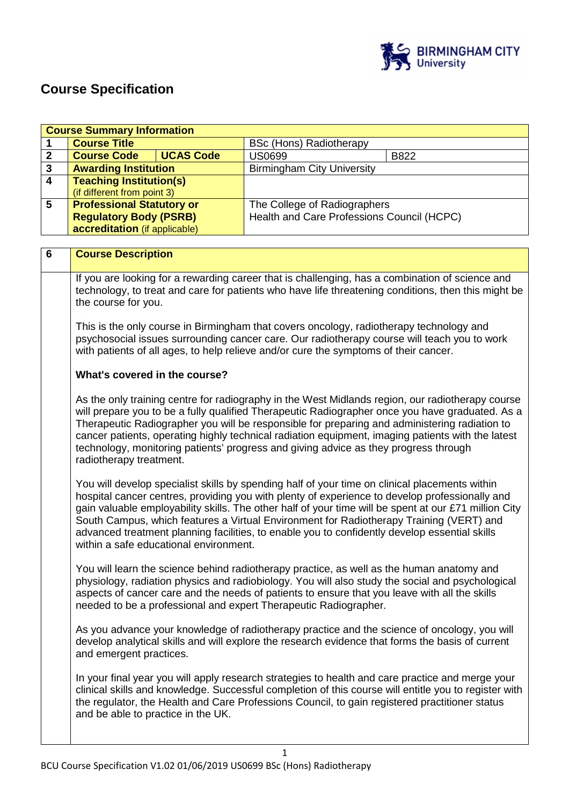

## **Course Specification**

| <b>Course Summary Information</b> |                                                                                                                                                                                                                                                                                                                                                                                                                                                                                                                              |                                        |                                                                                                                                                                                                                                                                                                                                                                                                                                                                                                       |                                                                                                     |
|-----------------------------------|------------------------------------------------------------------------------------------------------------------------------------------------------------------------------------------------------------------------------------------------------------------------------------------------------------------------------------------------------------------------------------------------------------------------------------------------------------------------------------------------------------------------------|----------------------------------------|-------------------------------------------------------------------------------------------------------------------------------------------------------------------------------------------------------------------------------------------------------------------------------------------------------------------------------------------------------------------------------------------------------------------------------------------------------------------------------------------------------|-----------------------------------------------------------------------------------------------------|
| 1                                 | <b>Course Title</b>                                                                                                                                                                                                                                                                                                                                                                                                                                                                                                          |                                        | <b>BSc (Hons) Radiotherapy</b>                                                                                                                                                                                                                                                                                                                                                                                                                                                                        |                                                                                                     |
| $\mathbf{2}$                      | <b>Course Code</b>                                                                                                                                                                                                                                                                                                                                                                                                                                                                                                           | <b>UCAS Code</b>                       | <b>US0699</b>                                                                                                                                                                                                                                                                                                                                                                                                                                                                                         | B822                                                                                                |
| $\overline{\mathbf{3}}$           | <b>Awarding Institution</b>                                                                                                                                                                                                                                                                                                                                                                                                                                                                                                  |                                        | <b>Birmingham City University</b>                                                                                                                                                                                                                                                                                                                                                                                                                                                                     |                                                                                                     |
| $\overline{4}$                    | <b>Teaching Institution(s)</b>                                                                                                                                                                                                                                                                                                                                                                                                                                                                                               |                                        |                                                                                                                                                                                                                                                                                                                                                                                                                                                                                                       |                                                                                                     |
|                                   | (if different from point 3)                                                                                                                                                                                                                                                                                                                                                                                                                                                                                                  |                                        |                                                                                                                                                                                                                                                                                                                                                                                                                                                                                                       |                                                                                                     |
| 5                                 | <b>Professional Statutory or</b>                                                                                                                                                                                                                                                                                                                                                                                                                                                                                             |                                        | The College of Radiographers                                                                                                                                                                                                                                                                                                                                                                                                                                                                          |                                                                                                     |
|                                   | <b>Regulatory Body (PSRB)</b>                                                                                                                                                                                                                                                                                                                                                                                                                                                                                                |                                        | Health and Care Professions Council (HCPC)                                                                                                                                                                                                                                                                                                                                                                                                                                                            |                                                                                                     |
|                                   | accreditation (if applicable)                                                                                                                                                                                                                                                                                                                                                                                                                                                                                                |                                        |                                                                                                                                                                                                                                                                                                                                                                                                                                                                                                       |                                                                                                     |
|                                   |                                                                                                                                                                                                                                                                                                                                                                                                                                                                                                                              |                                        |                                                                                                                                                                                                                                                                                                                                                                                                                                                                                                       |                                                                                                     |
| 6                                 | <b>Course Description</b>                                                                                                                                                                                                                                                                                                                                                                                                                                                                                                    |                                        |                                                                                                                                                                                                                                                                                                                                                                                                                                                                                                       |                                                                                                     |
|                                   | the course for you.                                                                                                                                                                                                                                                                                                                                                                                                                                                                                                          |                                        | If you are looking for a rewarding career that is challenging, has a combination of science and                                                                                                                                                                                                                                                                                                                                                                                                       | technology, to treat and care for patients who have life threatening conditions, then this might be |
|                                   |                                                                                                                                                                                                                                                                                                                                                                                                                                                                                                                              |                                        | This is the only course in Birmingham that covers oncology, radiotherapy technology and<br>psychosocial issues surrounding cancer care. Our radiotherapy course will teach you to work<br>with patients of all ages, to help relieve and/or cure the symptoms of their cancer.                                                                                                                                                                                                                        |                                                                                                     |
|                                   | What's covered in the course?                                                                                                                                                                                                                                                                                                                                                                                                                                                                                                |                                        |                                                                                                                                                                                                                                                                                                                                                                                                                                                                                                       |                                                                                                     |
|                                   | As the only training centre for radiography in the West Midlands region, our radiotherapy course<br>will prepare you to be a fully qualified Therapeutic Radiographer once you have graduated. As a<br>Therapeutic Radiographer you will be responsible for preparing and administering radiation to<br>cancer patients, operating highly technical radiation equipment, imaging patients with the latest<br>technology, monitoring patients' progress and giving advice as they progress through<br>radiotherapy treatment. |                                        |                                                                                                                                                                                                                                                                                                                                                                                                                                                                                                       |                                                                                                     |
|                                   |                                                                                                                                                                                                                                                                                                                                                                                                                                                                                                                              | within a safe educational environment. | You will develop specialist skills by spending half of your time on clinical placements within<br>hospital cancer centres, providing you with plenty of experience to develop professionally and<br>gain valuable employability skills. The other half of your time will be spent at our £71 million City<br>South Campus, which features a Virtual Environment for Radiotherapy Training (VERT) and<br>advanced treatment planning facilities, to enable you to confidently develop essential skills |                                                                                                     |
|                                   |                                                                                                                                                                                                                                                                                                                                                                                                                                                                                                                              |                                        | You will learn the science behind radiotherapy practice, as well as the human anatomy and<br>physiology, radiation physics and radiobiology. You will also study the social and psychological<br>aspects of cancer care and the needs of patients to ensure that you leave with all the skills<br>needed to be a professional and expert Therapeutic Radiographer.                                                                                                                                    |                                                                                                     |
|                                   | and emergent practices.                                                                                                                                                                                                                                                                                                                                                                                                                                                                                                      |                                        | As you advance your knowledge of radiotherapy practice and the science of oncology, you will<br>develop analytical skills and will explore the research evidence that forms the basis of current                                                                                                                                                                                                                                                                                                      |                                                                                                     |
|                                   | and be able to practice in the UK.                                                                                                                                                                                                                                                                                                                                                                                                                                                                                           |                                        | In your final year you will apply research strategies to health and care practice and merge your<br>clinical skills and knowledge. Successful completion of this course will entitle you to register with<br>the regulator, the Health and Care Professions Council, to gain registered practitioner status                                                                                                                                                                                           |                                                                                                     |
|                                   |                                                                                                                                                                                                                                                                                                                                                                                                                                                                                                                              |                                        |                                                                                                                                                                                                                                                                                                                                                                                                                                                                                                       |                                                                                                     |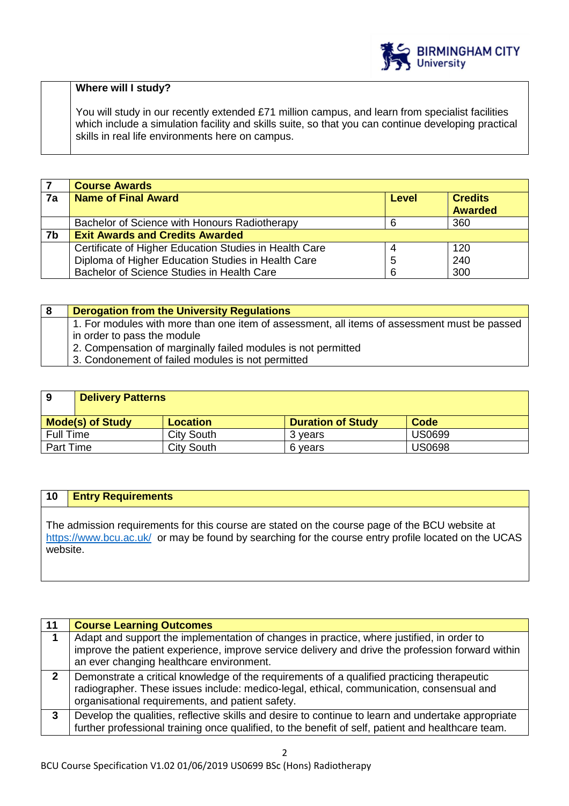

## **Where will I study?**

You will study in our recently extended £71 million campus, and learn from specialist facilities which include a simulation facility and skills suite, so that you can continue developing practical skills in real life environments here on campus.

|    | <b>Course Awards</b>                                   |       |                                  |
|----|--------------------------------------------------------|-------|----------------------------------|
| 7a | <b>Name of Final Award</b>                             | Level | <b>Credits</b><br><b>Awarded</b> |
|    |                                                        |       |                                  |
|    | Bachelor of Science with Honours Radiotherapy          |       | 360                              |
| 7b | <b>Exit Awards and Credits Awarded</b>                 |       |                                  |
|    | Certificate of Higher Education Studies in Health Care | 4     | 120                              |
|    | Diploma of Higher Education Studies in Health Care     | 5     | 240                              |
|    | Bachelor of Science Studies in Health Care             |       | 300                              |

| 8 | <b>Derogation from the University Regulations</b>                                            |
|---|----------------------------------------------------------------------------------------------|
|   | 1. For modules with more than one item of assessment, all items of assessment must be passed |
|   | in order to pass the module                                                                  |
|   | 2. Compensation of marginally failed modules is not permitted                                |
|   | 3. Condonement of failed modules is not permitted                                            |

| 9                       | <b>Delivery Patterns</b> |                   |                          |               |
|-------------------------|--------------------------|-------------------|--------------------------|---------------|
| <b>Mode(s) of Study</b> |                          | <b>Location</b>   | <b>Duration of Study</b> | Code          |
| <b>Full Time</b>        |                          | City South        | 3 vears                  | <b>US0699</b> |
| Part Time               |                          | <b>City South</b> | 6 vears                  | <b>US0698</b> |

## **10 Entry Requirements**

The admission requirements for this course are stated on the course page of the BCU website at https://www.bcu.ac.uk/ or may be found by searching for the course entry profile located on the UCAS website.

| 11                         | <b>Course Learning Outcomes</b>                                                                                                                                                                                                            |
|----------------------------|--------------------------------------------------------------------------------------------------------------------------------------------------------------------------------------------------------------------------------------------|
|                            | Adapt and support the implementation of changes in practice, where justified, in order to<br>improve the patient experience, improve service delivery and drive the profession forward within<br>an ever changing healthcare environment.  |
| $\boldsymbol{\mathcal{P}}$ | Demonstrate a critical knowledge of the requirements of a qualified practicing therapeutic<br>radiographer. These issues include: medico-legal, ethical, communication, consensual and<br>organisational requirements, and patient safety. |
| 3                          | Develop the qualities, reflective skills and desire to continue to learn and undertake appropriate<br>further professional training once qualified, to the benefit of self, patient and healthcare team.                                   |